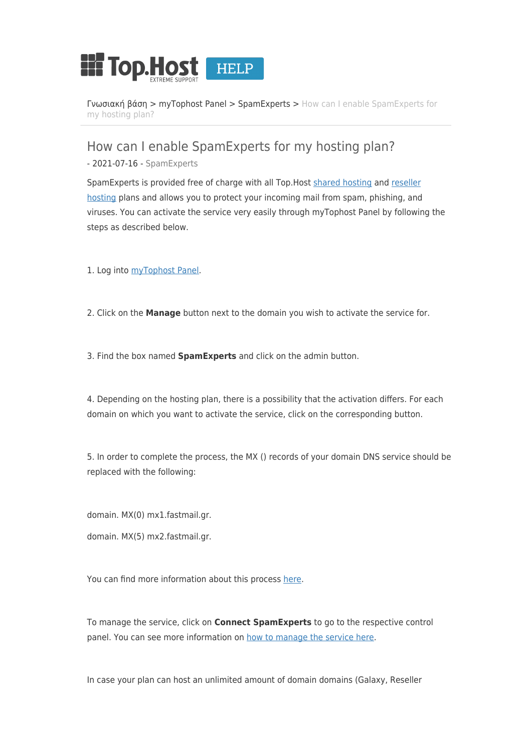

[Γνωσιακή βάση](https://help.top.host/el/kb) > [myTophost Panel](https://help.top.host/el/kb/mytophost-panel) > [SpamExperts](https://help.top.host/el/kb/spamexperts) > [How can I enable SpamExperts for](https://help.top.host/el/kb/articles/how-can-i-enable-spamexperts-for-my-hosting-plan) [my hosting plan?](https://help.top.host/el/kb/articles/how-can-i-enable-spamexperts-for-my-hosting-plan)

How can I enable SpamExperts for my hosting plan?

- 2021-07-16 - [SpamExperts](https://help.top.host/el/kb/spamexperts)

SpamExperts is provided free of charge with all Top.Host [shared hosting](https://top.host/web-hosting.htm) and [reseller](https://top.host/reseller-webhosting-linux.htm) [hosting](https://top.host/reseller-webhosting-linux.htm) plans and allows you to protect your incoming mail from spam, phishing, and viruses. You can activate the service very easily through myTophost Panel by following the steps as described below.

1. Log into [myTophost Panel.](https://top.host/myTophost/)

2. Click on the **Manage** button next to the domain you wish to activate the service for.

3. Find the box named **SpamExperts** and click on the admin button.

4. Depending on the hosting plan, there is a possibility that the activation differs. For each domain on which you want to activate the service, click on the corresponding button.

5. In order to complete the process, the MX () records of your domain DNS service should be replaced with the following:

domain. MX(0) mx1.fastmail.gr.

domain. MX(5) mx2.fastmail.gr.

You can find more information about this process [here](https://top.host/support/kb/article.php?id=963).

To manage the service, click on **Connect SpamExperts** to go to the respective control panel. You can see more information on [how to manage the service here.](https://top.host/support/kb/article/%CE%94%CE%B9%CE%B1%CF%87%CE%B5%CE%AF%CF%81%CE%B9%CF%83%CE%B7-%CF%85%CF%80%CE%B7%CF%81%CE%B5%CF%83%CE%AF%CE%B1%CF%82-spamexperts-954.html)

In case your plan can host an unlimited amount of domain domains (Galaxy, Reseller